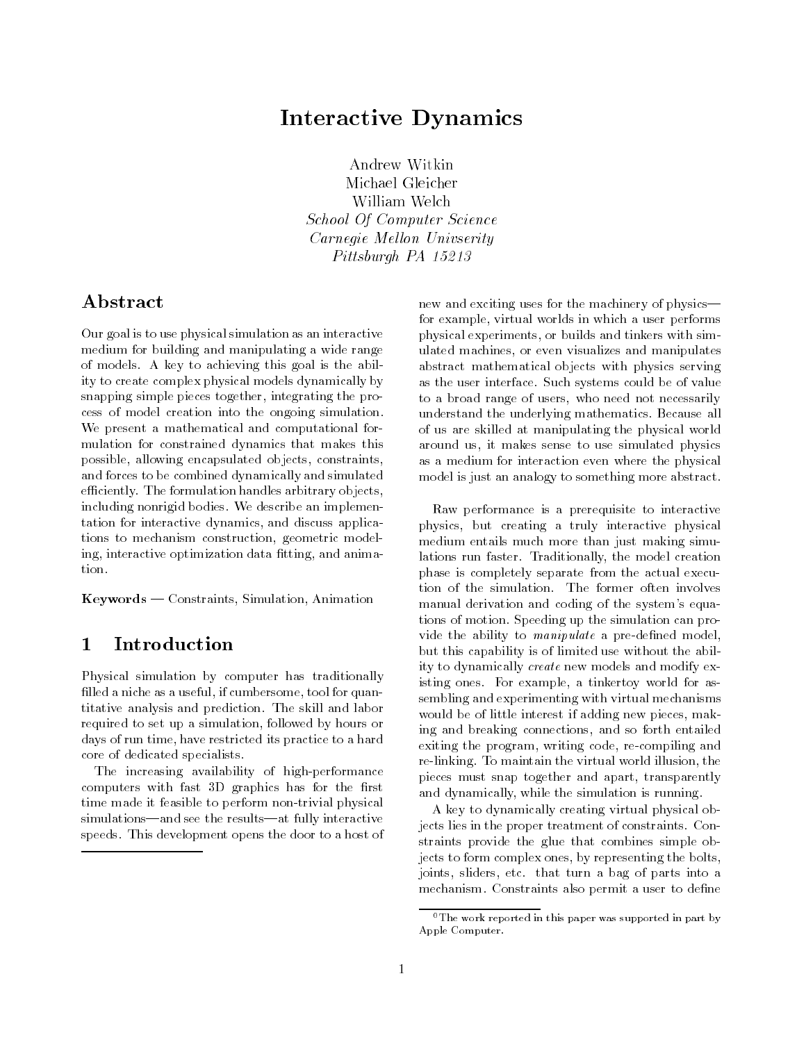# Interactive Dynamics

Michael Gleicher William Welch School Of Computer Science Carnegie Mellon Univserity Pittsburgh PA 15213

## Abstract

Our goal is to use physical simulation as an interactive medium for building and manipulating a wide range of models. A key to achieving this goal is the ability to create complex physical models dynamically by snapping simple pieces together, integrating the process of model creation into the ongoing simulation. We present a mathematical and computational for mulation for constrained dynamics that makes this possible, allowing encapsulated ob jects, constraints, and forces to be combined dynamically and simulated efficiently. The formulation handles arbitrary objects, including nonrigid bodies. We describe an implementation for interactive dynamics, and discuss applications to mechanism construction, geometric modeling, interactive optimization data fitting, and animation.

 $Keywords$  – Constraints, Simulation, Animation

### **Introduction**  $\mathbf{1}$

Physical simulation by computer has traditionally filled a niche as a useful, if cumbersome, tool for quantitative analysis and prediction. The skill and labor required to set up a simulation, followed by hours or days of run time, have restricted its practice to a hard core of dedicated specialists.

The increasing availability of high-performance computers with fast 3D graphics has for the first time made it feasible to perform non-trivial physical simulations—and see the results—at fully interactive speeds. This development opens the door to a host of new and exciting uses for the machinery of physicsfor example, virtual worlds in which a user performs physical experiments, or builds and tinkers with simulated machines, or even visualizes and manipulates abstract mathematical objects with physics serving as the user interface. Such systems could be of value to a broad range of users, who need not necessarily understand the underlying mathematics. Because all of us are skilled at manipulating the physical world around us, it makes sense to use simulated physics as a medium for interaction even where the physical model is just an analogy to something more abstract.

Raw performance is a prerequisite to interactive physics, but creating a truly interactive physical medium entails much more than just making simulations run faster. Traditionally, the model creation phase is completely separate from the actual execution of the simulation. The former often involves manual derivation and coding of the system's equations of motion. Speeding up the simulation can provide the ability to *manipulate* a pre-defined model, but this capability is of limited use without the ability to dynamically create new models and modify existing ones. For example, a tinkertoy world for assembling and experimenting with virtual mechanisms would be of little interest if adding new pieces, making and breaking connections, and so forth entailed exiting the program, writing code, re-compiling and re-linking. To maintain the virtual world illusion, the pieces must snap together and apart, transparently and dynamically, while the simulation is running.

A key to dynamically creating virtual physical objects lies in the proper treatment of constraints. Constraints provide the glue that combines simple objects to form complex ones, by representing the bolts, joints, sliders, etc. that turn a bag of parts into a mechanism. Constraints also permit a user to define

<sup>&</sup>lt;sup>0</sup>The work reported in this paper was supported in part by Apple Computer.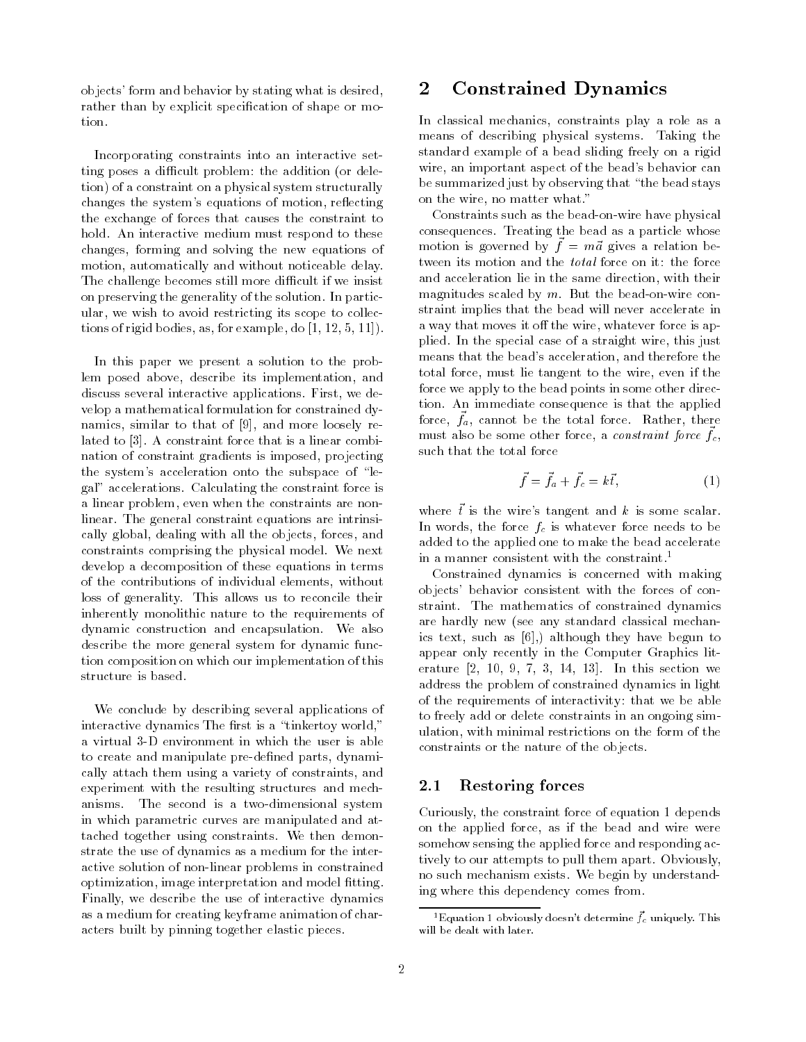ob jects' form and behavior by stating what is desired, rather than by explicit specification of shape or motion.

Incorporating constraints into an interactive setting poses a difficult problem: the addition (or deletion) of a constraint on a physical system structurally changes the system's equations of motion, reflecting the exchange of forces that causes the constraint to hold. An interactive medium must respond to these changes, forming and solving the new equations of motion, automatically and without noticeable delay. The challenge becomes still more difficult if we insist on preserving the generality of the solution. In particular, we wish to avoid restricting its scope to collections of rigid bodies, as, for example, do [1, 12, 5, 11]).

In this paper we present a solution to the problem posed above, describe its implementation, and discuss several interactive applications. First, we develop a mathematical formulation for constrained dynamics, similar to that of [9], and more loosely related to [3]. A constraint force that is a linear combination of constraint gradients is imposed, projecting the system's acceleration onto the subspace of \legal" accelerations. Calculating the constraint force is a linear problem, even when the constraints are nonlinear. The general constraint equations are intrinsically global, dealing with all the objects, forces, and constraints comprising the physical model. We next develop a decomposition of these equations in terms of the contributions of individual elements, without loss of generality. This allows us to reconcile their inherently monolithic nature to the requirements of dynamic construction and encapsulation. We also describe the more general system for dynamic function composition on which our implementation of this structure is based.

We conclude by describing several applications of interactive dynamics The first is a "tinkertoy world," a virtual 3-D environment in which the user is able to create and manipulate pre-defined parts, dynamically attach them using a variety of constraints, and experiment with the resulting structures and mechanisms. The second is a two-dimensional system in which parametric curves are manipulated and attached together using constraints. We then demonstrate the use of dynamics as a medium for the interactive solution of non-linear problems in constrained optimization, image interpretation and model fitting. Finally, we describe the use of interactive dynamics as a medium for creating keyframe animation of characters built by pinning together elastic pieces.

### $\bf{2}$ 2 Constrained Dynamics

In classical mechanics, constraints play a role as a means of describing physical systems. Taking the standard example of a bead sliding freely on a rigid wire, an important aspect of the bead's behavior can be summarized just by observing that \the bead stays on the wire, no matter what."

Constraints such as the bead-on-wire have physical consequences. Treating the bead as a particle whose  $\mu$  motion is governed by  $\mu = ma$  gives a relation between its motion and the total force on it: the force and acceleration lie in the same direction, with their magnitudes scaled by  $m$ . But the bead-on-wire constraint implies that the bead will never accelerate in a way that moves it off the wire, whatever force is applied. In the special case of a straight wire, this just means that the bead's acceleration, and therefore the total force, must lie tangent to the wire, even if the force we apply to the bead points in some other direction. An immediate consequence is that the applied force,  $f_a$ , cannot be the total force. Rather, there  $m_{\rm s}$  also be some other force, a *construme force*  $f_c$ , such that the total force

$$
\vec{f} = \vec{f}_a + \vec{f}_c = k\vec{t},\tag{1}
$$

where  $\vec{t}$  is the wire's tangent and k is some scalar. In words, the force  $f_c$  is whatever force needs to be added to the applied one to make the bead accelerate in a manner consistent with the constraint.<sup>1</sup>

Constrained dynamics is concerned with making objects' behavior consistent with the forces of constraint. The mathematics of constrained dynamics are hardly new (see any standard classical mechanics text, such as [6],) although they have begun to appear only recently in the Computer Graphics literature [2, 10, 9, 7, 3, 14, 13]. In this section we address the problem of constrained dynamics in light of the requirements of interactivity: that we be able to freely add or delete constraints in an ongoing simulation, with minimal restrictions on the form of the constraints or the nature of the objects.

#### 2.1Restoring forces

Curiously, the constraint force of equation 1 depends on the applied force, as if the bead and wire were somehow sensing the applied force and responding actively to our attempts to pull them apart. Obviously, no such mechanism exists. We begin by understanding where this dependency comes from.

 $^1$ Equation 1 obviously doesn't determine  $f_c$  uniquely. This will be dealt with later.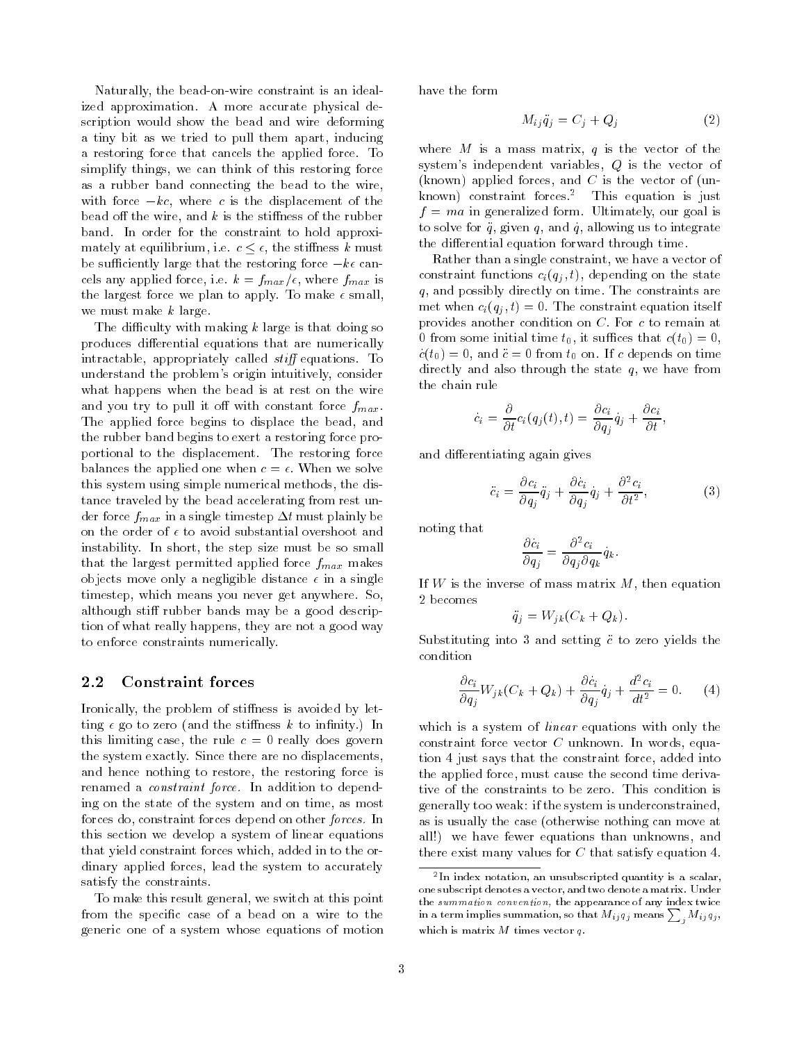Naturally, the bead-on-wire constraint is an idealized approximation. A more accurate physical description would show the bead and wire deforming a tiny bit as we tried to pull them apart, inducing a restoring force that cancels the applied force. To simplify things, we can think of this restoring force as a rubber band connecting the bead to the wire, with force  $-kc$ , where c is the displacement of the bead off the wire, and  $k$  is the stiffness of the rubber band. In order for the constraint to hold approximately at equilibrium, i.e.  $c \leq \epsilon$ , the stiffness k must be sufficiently large that the restoring force  $-k\epsilon$  cancels any applied force, i.e.  $k = f_{max}/\epsilon$ , where  $f_{max}$  is the largest force we plan to apply. To make  $\epsilon$  small, we must make <sup>k</sup> large.

The difficulty with making  $k$  large is that doing so produces differential equations that are numerically intractable, appropriately called  $stiff$  equations. To understand the problem's origin intuitively, consider what happens when the bead is at rest on the wire and you try to pull it off with constant force  $f_{max}$ . The applied force begins to displace the bead, and the rubber band begins to exert a restoring force proportional to the displacement. The restoring force balances the applied one when  $c = \epsilon$ . When we solve this system using simple numerical methods, the distance traveled by the bead accelerating from rest under force  $f_{max}$  in a single timestep  $\Delta t$  must plainly be on the order of  $\epsilon$  to avoid substantial overshoot and instability. In short, the step size must be so small that the largest permitted applied force  $f_{max}$  makes objects move only a negligible distance  $\epsilon$  in a single timestep, which means you never get anywhere. So, although stiff rubber bands may be a good description of what really happens, they are not a good way to enforce constraints numerically.

#### 2.2Constraint forces

Ironically, the problem of stiffness is avoided by letting  $\epsilon$  go to zero (and the stiffness k to infinity.) In this limiting case, the rule  $c = 0$  really does govern the system exactly. Since there are no displacements, and hence nothing to restore, the restoring force is renamed a *constraint force*. In addition to depending on the state of the system and on time, as most forces do, constraint forces depend on other *forces*. In this section we develop a system of linear equations that yield constraint forces which, added in to the ordinary applied forces, lead the system to accurately satisfy the constraints.

To make this result general, we switch at this point from the specific case of a bead on a wire to the generic one of a system whose equations of motion have the form

$$
M_{ij}\ddot{q}_j = C_j + Q_j \tag{2}
$$

where M is a mass matrix, q is the vector of the system's independent variables, <sup>Q</sup> is the vector of (known) applied forces, and  $C$  is the vector of (unknown) constraint forces.2 This equation is just  $f = ma$  in generalized form. Ultimately, our goal is to solve for  $\ddot{q}$ , given q, and q, allowing us to integrate the differential equation forward through time.

Rather than a single constraint, we have a vector of constraint functions  $c_i(q_j, t)$ , depending on the state q, and possibly directly on time. The constraints are met when  $c_i(q_i, t) = 0$ . The constraint equation itself provides another condition on C: For <sup>c</sup> to remain at 0 from some initial time  $t_0$ , it suffices that  $c(t_0) = 0$ ,  $c(t_0) = 0$ , and  $\ddot{c} = 0$  from  $t_0$  on. If c depends on time directly and also through the state  $q$ , we have from the chain rule

$$
\dot{c}_i = \frac{\partial}{\partial t} c_i(q_j(t), t) = \frac{\partial c_i}{\partial q_j} \dot{q}_j + \frac{\partial c_i}{\partial t},
$$

and differentiating again gives

$$
\ddot{c}_i = \frac{\partial c_i}{\partial q_j} \ddot{q}_j + \frac{\partial c_i}{\partial q_j} \dot{q}_j + \frac{\partial^2 c_i}{\partial t^2},\tag{3}
$$

noting that

$$
\frac{\partial c_i}{\partial q_j} = \frac{\partial^2 c_i}{\partial q_j \partial q_k} q_k.
$$

If  $W$  is the inverse of mass matrix  $M$ , then equation 2 becomes

$$
\ddot{q}_j = W_{jk}(C_k + Q_k).
$$

Substituting into 3 and setting  $\ddot{c}$  to zero yields the condition

$$
\frac{\partial c_i}{\partial q_j} W_{jk}(C_k + Q_k) + \frac{\partial c_i}{\partial q_j} \dot{q}_j + \frac{d^2 c_i}{dt^2} = 0.
$$
 (4)

which is a system of *linear* equations with only the constraint force vector  $C$  unknown. In words, equation 4 just says that the constraint force, added into the applied force, must cause the second time derivative of the constraints to be zero. This condition is generally too weak: if the system is underconstrained, as is usually the case (otherwise nothing can move at all!) we have fewer equations than unknowns, and there exist many values for  $C$  that satisfy equation 4.

<sup>2</sup> In index notation, an unsubscripted quantity is a scalar, one subscript denotes a vector, and two denote a matrix. Under the summation convention, the appearance of any index twice  $\text{in a term implies summation, so that } M_{ij}q_j \text{ means} \sum\nolimits_j M_{ij} q_j,$ which is matrix  $M$  times vector  $q$ .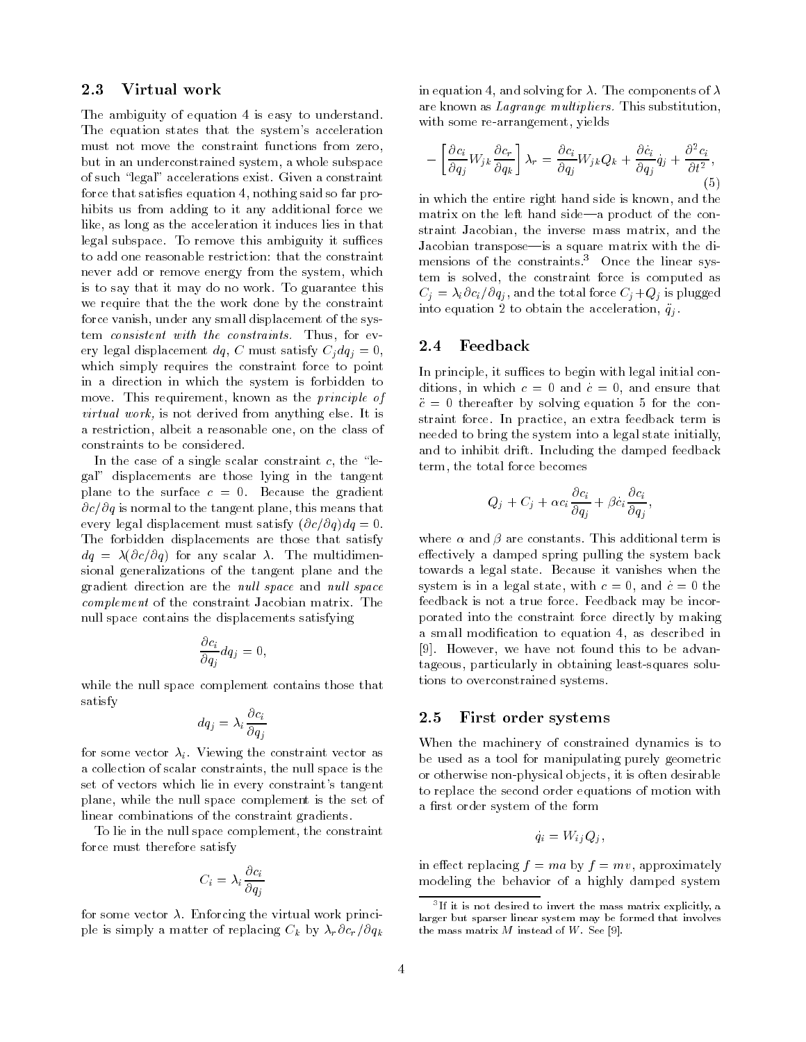#### 2.3 Virtual work . . . .

The ambiguity of equation 4 is easy to understand. The equation states that the system's acceleration must not move the constraint functions from zero, but in an underconstrained system, a whole subspace of such \legal" accelerations exist. Given a constraint force that satisfies equation 4, nothing said so far prohibits us from adding to it any additional force we like, as long as the acceleration it induces lies in that legal subspace. To remove this ambiguity it suffices to add one reasonable restriction: that the constraint never add or remove energy from the system, which is to say that it may do no work. To guarantee this we require that the the work done by the constraint force vanish, under any small displacement of the system consistent with the constraints. Thus, for every legal displacement dq, C must satisfy  $C_i dq_i = 0$ , which simply requires the constraint force to point in a direction in which the system is forbidden to move. This requirement, known as the principle of virtual work, is not derived from anything else. It is a restriction, albeit a reasonable one, on the class of constraints to be considered.

In the case of a single scalar constraint  $c$ , the "legal" displacements are those lying in the tangent plane to the surface  $c = 0$ . Because the gradient  $\partial c/\partial q$  is normal to the tangent plane, this means that every legal displacement must satisfy  $(\partial c/\partial q)dq = 0$ . The forbidden displacements are those that satisfy  $dq = \lambda(\partial c/\partial q)$  for any scalar  $\lambda$ . The multidimensional generalizations of the tangent plane and the gradient direction are the *null space* and *null space* complement of the constraint Jacobian matrix. The null space contains the displacements satisfying

$$
\frac{\partial c_i}{\partial q_j} dq_j = 0,
$$

while the null space complement contains those that satisfy

$$
dq_j = \lambda_i \frac{\partial c_i}{\partial q_j}
$$

for some vector  $\lambda_i$ . Viewing the constraint vector as a collection of scalar constraints, the null space is the set of vectors which lie in every constraint's tangent plane, while the null space complement is the set of linear combinations of the constraint gradients.

To lie in the null space complement, the constraint force must therefore satisfy

$$
C_i = \lambda_i \frac{\partial c_i}{\partial q_j}
$$

for some vector  $\lambda$ . Enforcing the virtual work principle is simply a matter of replacing  $C_k$  by  $\lambda_r \partial c_r / \partial q_k$  in equation 4, and solving for  $\lambda$ . The components of  $\lambda$ are known as Lagrange multipliers. This substitution, with some re-arrangement, yields

$$
-\left[\frac{\partial c_i}{\partial q_j} W_{jk} \frac{\partial c_r}{\partial q_k}\right] \lambda_r = \frac{\partial c_i}{\partial q_j} W_{jk} Q_k + \frac{\partial c_i}{\partial q_j} q_j + \frac{\partial^2 c_i}{\partial t^2},\tag{5}
$$

in which the entire right hand side is known, and the matrix on the left hand side—a product of the constraint Jacobian, the inverse mass matrix, and the Jacobian transpose—is a square matrix with the dimensions of the constraints.<sup>3</sup> Once the linear system is solved, the constraint force is computed as  $C_j = \lambda_i \partial c_i/\partial q_j$ , and the total force  $C_j+Q_j$  is plugged into equation 2 to obtain the acceleration,  $\ddot{q}_j$ .

#### 2.4Feedback

In principle, it suffices to begin with legal initial conditions, in which  $c = 0$  and  $c = 0$ , and ensure that  $\ddot{c} = 0$  thereafter by solving equation 5 for the constraint force. In practice, an extra feedback term is needed to bring the system into a legal state initially, and to inhibit drift. Including the damped feedback term, the total force becomes

$$
Q_j + C_j + \alpha c_i \frac{\partial c_i}{\partial q_j} + \beta c_i \frac{\partial c_i}{\partial q_j},
$$

where  $\alpha$  and  $\beta$  are constants. This additional term is effectively a damped spring pulling the system back towards a legal state. Because it vanishes when the system is in a legal state, with  $c = 0$ , and  $c = 0$  the feedback is not a true force. Feedback may be incorporated into the constraint force directly by making a small modication to equation 4, as described in [9]. However, we have not found this to be advantageous, particularly in obtaining least-squares solutions to overconstrained systems.

#### 2.5First order systems

When the machinery of constrained dynamics is to be used as a tool for manipulating purely geometric or otherwise non-physical objects, it is often desirable to replace the second order equations of motion with a first order system of the form

$$
q_i = W_{ij} Q_j,
$$

in effect replacing  $f = ma$  by  $f = mv$ , approximately modeling the behavior of a highly damped system

 $\,^{\circ}$  II it is not desired to invert the mass matrix explicitly, a  $\,$ larger but sparser linear system may be formed that involves the mass matrix  $M$  instead of  $W$ . See [9].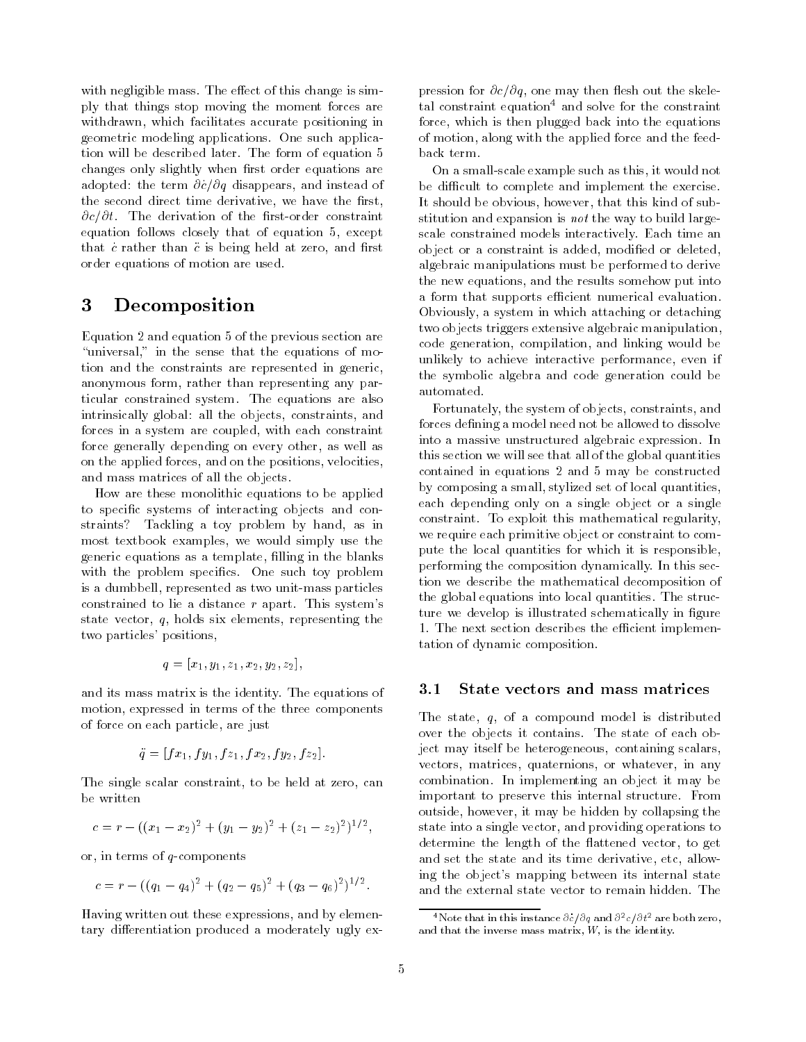with negligible mass. The effect of this change is simply that things stop moving the moment forces are withdrawn, which facilitates accurate positioning in geometric modeling applications. One such application will be described later. The form of equation 5 changes only slightly when first order equations are adopted: the term  $\partial c/\partial q$  disappears, and instead of the second direct time derivative, we have the first,  $\partial c/\partial t$ . The derivation of the first-order constraint equation follows closely that of equation 5, except that c rather than  $\ddot{c}$  is being held at zero, and first order equations of motion are used.

### 3 **Decomposition**

Equation 2 and equation 5 of the previous section are "universal," in the sense that the equations of motion and the constraints are represented in generic, anonymous form, rather than representing any particular constrained system. The equations are also intrinsically global: all the objects, constraints, and forces in a system are coupled, with each constraint force generally depending on every other, as well as on the applied forces, and on the positions, velocities, and mass matrices of all the objects.

How are these monolithic equations to be applied to specic systems of interacting objects and constraints? Tackling a toy problem by hand, as in most textbook examples, we would simply use the generic equations as a template, filling in the blanks with the problem specifics. One such toy problem is a dumbbell, represented as two unit-mass particles constrained to lie a distance <sup>r</sup> apart. This system's state vector,  $q$ , holds six elements, representing the two particles' positions,

$$
q = [x_1, y_1, z_1, x_2, y_2, z_2],
$$

and its mass matrix is the identity. The equations of motion, expressed in terms of the three components of force on each particle, are just

$$
\ddot{q} = [fx_1, fy_1, fz_1, fx_2, fy_2, fz_2].
$$

The single scalar constraint, to be held at zero, can be written

$$
c = r - ((x_1 - x_2)^2 + (y_1 - y_2)^2 + (z_1 - z_2)^2)^{1/2},
$$

or, in terms of q-components

$$
c = r - ((q_1 - q_4)^2 + (q_2 - q_5)^2 + (q_3 - q_6)^2)^{1/2}.
$$

Having written out these expressions, and by elementary differentiation produced a moderately ugly expression for  $\partial c/\partial q$ , one may then flesh out the skeletal constraint equation<sup>4</sup> and solve for the constraint force, which is then plugged back into the equations of motion, along with the applied force and the feedback term.

On a small-scale example such as this, it would not be difficult to complete and implement the exercise. It should be obvious, however, that this kind of substitution and expansion is *not* the way to build largescale constrained models interactively. Each time an object or a constraint is added, modified or deleted, algebraic manipulations must be performed to derive the new equations, and the results somehow put into a form that supports efficient numerical evaluation. Obviously, a system in which attaching or detaching two objects triggers extensive algebraic manipulation, code generation, compilation, and linking would be unlikely to achieve interactive performance, even if the symbolic algebra and code generation could be automated.

Fortunately, the system of objects, constraints, and forces defining a model need not be allowed to dissolve into a massive unstructured algebraic expression. In this section we will see that all of the global quantities contained in equations 2 and 5 may be constructed by composing a small, stylized set of local quantities, each depending only on a single ob ject or a single constraint. To exploit this mathematical regularity, we require each primitive object or constraint to compute the local quantities for which it is responsible, performing the composition dynamically. In this section we describe the mathematical decomposition of the global equations into local quantities. The structure we develop is illustrated schematically in figure 1. The next section describes the efficient implementation of dynamic composition.

#### 3.1State vectors and mass matrices

The state, q, of a compound model is distributed over the objects it contains. The state of each object may itself be heterogeneous, containing scalars, vectors, matrices, quaternions, or whatever, in any combination. In implementing an object it may be important to preserve this internal structure. From outside, however, it may be hidden by collapsing the state into a single vector, and providing operations to determine the length of the flattened vector, to get and set the state and its time derivative, etc, allowing the object's mapping between its internal state and the external state vector to remain hidden. The

Thote that in this instance  $\sigma c/\sigma q$  and  $\sigma^+ c/\sigma t^-$  are both zero, and that the inverse mass matrix,  $W$ , is the identity.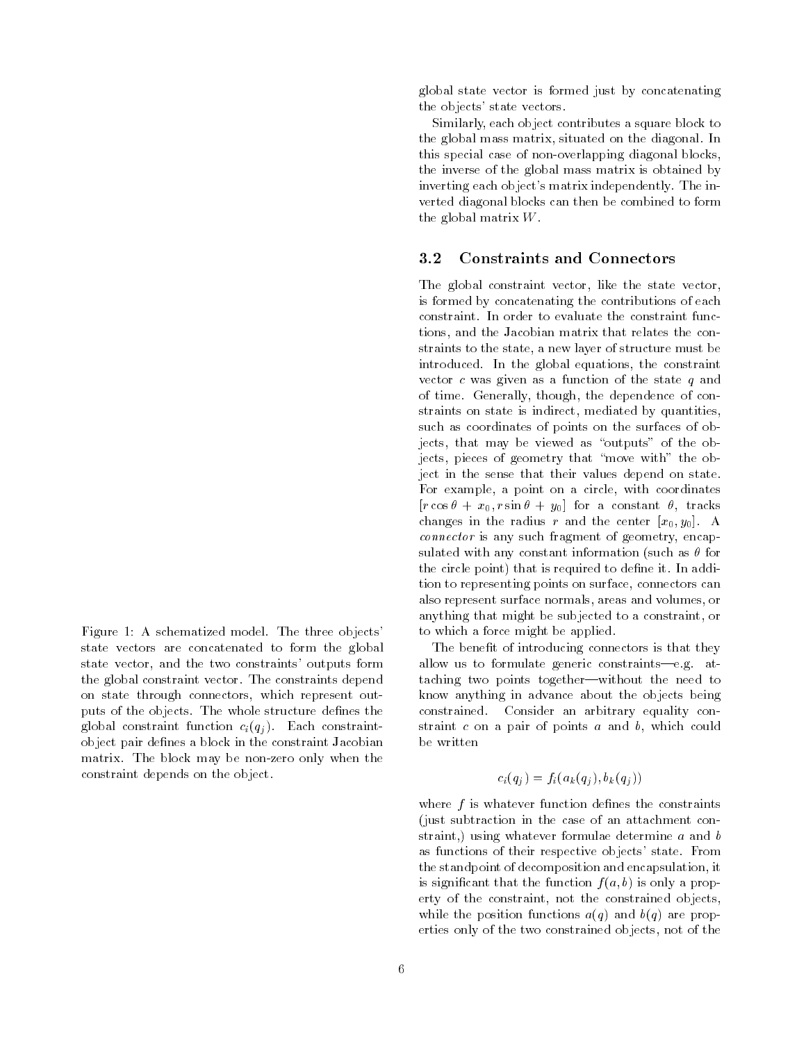Figure 1: A schematized model. The three objects' state vectors are concatenated to form the global state vector, and the two constraints' outputs form the global constraint vector. The constraints depend on state through connectors, which represent outputs of the objects. The whole structure defines the global constraint function  $c_i(q_i)$ . Each constraintobject pair defines a block in the constraint Jacobian matrix. The block may be non-zero only when the constraint depends on the object.

global state vector is formed just by concatenating the objects' state vectors.

Similarly, each object contributes a square block to the global mass matrix, situated on the diagonal. In this special case of non-overlapping diagonal blocks, the inverse of the global mass matrix is obtained by inverting each object's matrix independently. The inverted diagonal blocks can then be combined to form the global matrix W.

### 3.2Constraints and Connectors

The global constraint vector, like the state vector, is formed by concatenating the contributions of each constraint. In order to evaluate the constraint functions, and the Jacobian matrix that relates the constraints to the state, a new layer of structure must be introduced. In the global equations, the constraint vector  $c$  was given as a function of the state  $q$  and of time. Generally, though, the dependence of constraints on state is indirect, mediated by quantities, such as coordinates of points on the surfaces of objects, that may be viewed as "outputs" of the objects, pieces of geometry that "move with" the object in the sense that their values depend on state. For example, a point on a circle, with coordinates  $[r\cos\theta + x_0, r\sin\theta + y_0]$  for a constant  $\theta$ , tracks changes in the radius r and the center  $[x_0, y_0]$ . A connector is any such fragment of geometry, encapsulated with any constant information (such as  $\theta$  for the circle point) that is required to define it. In addition to representing points on surface, connectors can also represent surface normals, areas and volumes, or anything that might be subjected to a constraint, or to which a force might be applied.

The benefit of introducing connectors is that they allow us to formulate generic constraints-e.g. attaching two points together-without the need to know anything in advance about the objects being constrained. Consider an arbitrary equality constraint  $c$  on a pair of points  $a$  and  $b$ , which could be written

$$
c_i(q_j) = f_i(a_k(q_j), b_k(q_j))
$$

where  $f$  is whatever function defines the constraints (just subtraction in the case of an attachment constraint,) using whatever formulae determine <sup>a</sup> and <sup>b</sup> as functions of their respective objects' state. From the standpoint of decomposition and encapsulation, it is significant that the function  $f(a, b)$  is only a property of the constraint, not the constrained objects, while the position functions  $a(q)$  and  $b(q)$  are properties only of the two constrained objects, not of the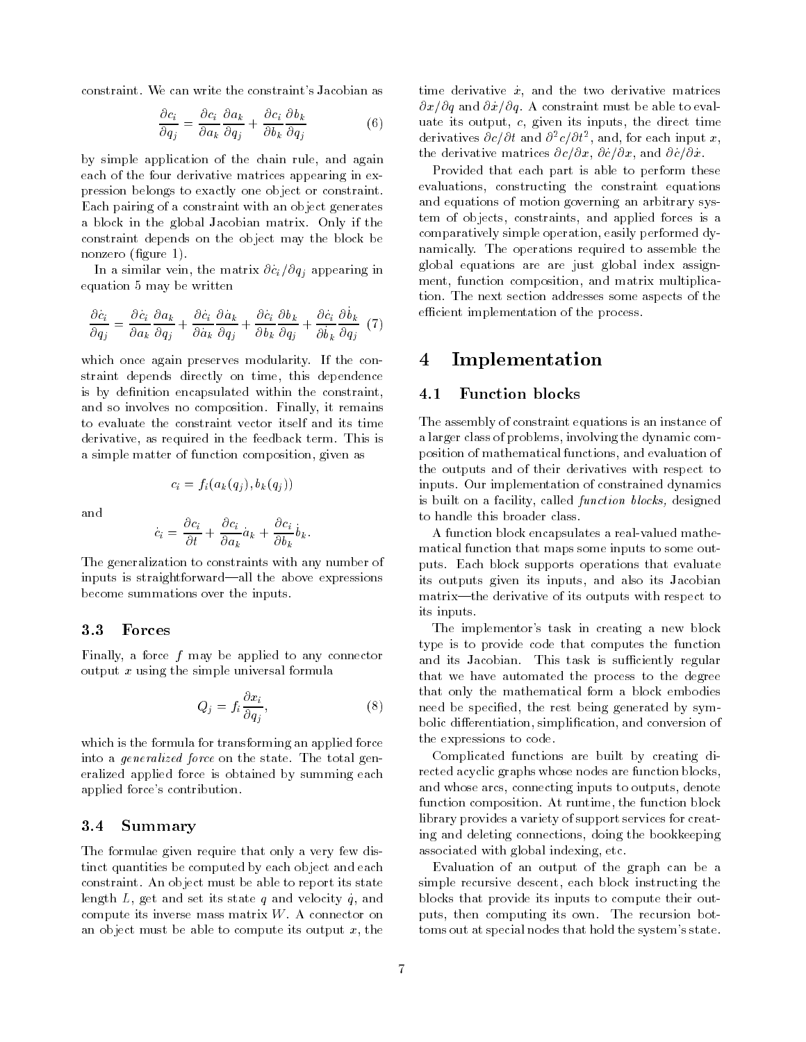constraint. We can write the constraint's Jacobian as

$$
\frac{\partial c_i}{\partial q_j} = \frac{\partial c_i}{\partial a_k} \frac{\partial a_k}{\partial q_j} + \frac{\partial c_i}{\partial b_k} \frac{\partial b_k}{\partial q_j}
$$
(6)

by simple application of the chain rule, and again each of the four derivative matrices appearing in expression belongs to exactly one object or constraint. Each pairing of a constraint with an object generates a block in the global Jacobian matrix. Only if the constraint depends on the object may the block be nonzero (figure 1).

In a similar vein, the matrix @c\_ <sup>i</sup>=@qj appearing in equation 5 may be written

$$
\frac{\partial c_i}{\partial q_j} = \frac{\partial c_i}{\partial a_k} \frac{\partial a_k}{\partial q_j} + \frac{\partial c_i}{\partial a_k} \frac{\partial a_k}{\partial q_j} + \frac{\partial c_i}{\partial b_k} \frac{\partial b_k}{\partial q_j} + \frac{\partial c_i}{\partial b_k} \frac{\partial b_k}{\partial q_j} (7)
$$

which once again preserves modularity. If the constraint depends directly on time, this dependence is by definition encapsulated within the constraint, and so involves no composition. Finally, it remains to evaluate the constraint vector itself and its time derivative, as required in the feedback term. This is a simple matter of function composition, given as

$$
c_i = f_i(a_k(q_i), b_k(q_i))
$$

and

$$
\dot{c}_i = \frac{\partial c_i}{\partial t} + \frac{\partial c_i}{\partial a_k} a_k + \frac{\partial c_i}{\partial b_k} b_k.
$$

The generalization to constraints with any number of inputs is straightforward—all the above expressions become summations over the inputs.

#### 3.3Forces

Finally, a force  $f$  may be applied to any connector output  $x$  using the simple universal formula

$$
Q_j = f_i \frac{\partial x_i}{\partial q_j},\tag{8}
$$

which is the formula for transforming an applied force into a generalized force on the state. The total generalized applied force is obtained by summing each applied force's contribution.

#### 3.4Summary

The formulae given require that only a very few distinct quantities be computed by each object and each constraint. An object must be able to report its state length L, get and set its state q and velocity q, and compute its inverse mass matrix  $W$ . A connector on an object must be able to compute its output  $x$ , the time derivative  $x$ , and the two derivative matrices  $\partial x/\partial q$  and  $\partial x/\partial q$ . A constraint must be able to evaluate its output,  $c$ , given its inputs, the direct time derivatives  $\sigma c/\sigma t$  and  $\sigma$ - $c/\sigma t$ , and, for each input  $x$ , the derivative matrices  $\partial c/\partial x$ ,  $\partial c/\partial x$ , and  $\partial c/\partial x$ .

Provided that each part is able to perform these evaluations, constructing the constraint equations and equations of motion governing an arbitrary system of objects, constraints, and applied forces is a comparatively simple operation, easily performed dynamically. The operations required to assemble the global equations are are just global index assign ment, function composition, and matrix multiplication. The next section addresses some aspects of the efficient implementation of the process.

## 4 Implementation

#### 4.1Function blocks

The assembly of constraint equations is an instance of a larger class of problems, involving the dynamic composition of mathematical functions, and evaluation of the outputs and of their derivatives with respect to inputs. Our implementation of constrained dynamics is built on a facility, called function blocks, designed to handle this broader class.

A function block encapsulates a real-valued mathematical function that maps some inputs to some outputs. Each block supports operations that evaluate its outputs given its inputs, and also its Jacobian matrix—the derivative of its outputs with respect to its inputs.

The implementor's task in creating a new block type is to provide code that computes the function and its Jacobian. This task is sufficiently regular that we have automated the process to the degree that only the mathematical form a block embodies need be specified, the rest being generated by symbolic differentiation, simplification, and conversion of the expressions to code.

Complicated functions are built by creating directed acyclic graphs whose nodes are function blocks, and whose arcs, connecting inputs to outputs, denote function composition. At runtime, the function block library provides a variety of support services for creating and deleting connections, doing the bookkeeping associated with global indexing, etc.

Evaluation of an output of the graph can be a simple recursive descent, each block instructing the blocks that provide its inputs to compute their outputs, then computing its own. The recursion bottoms out at special nodes that hold the system's state.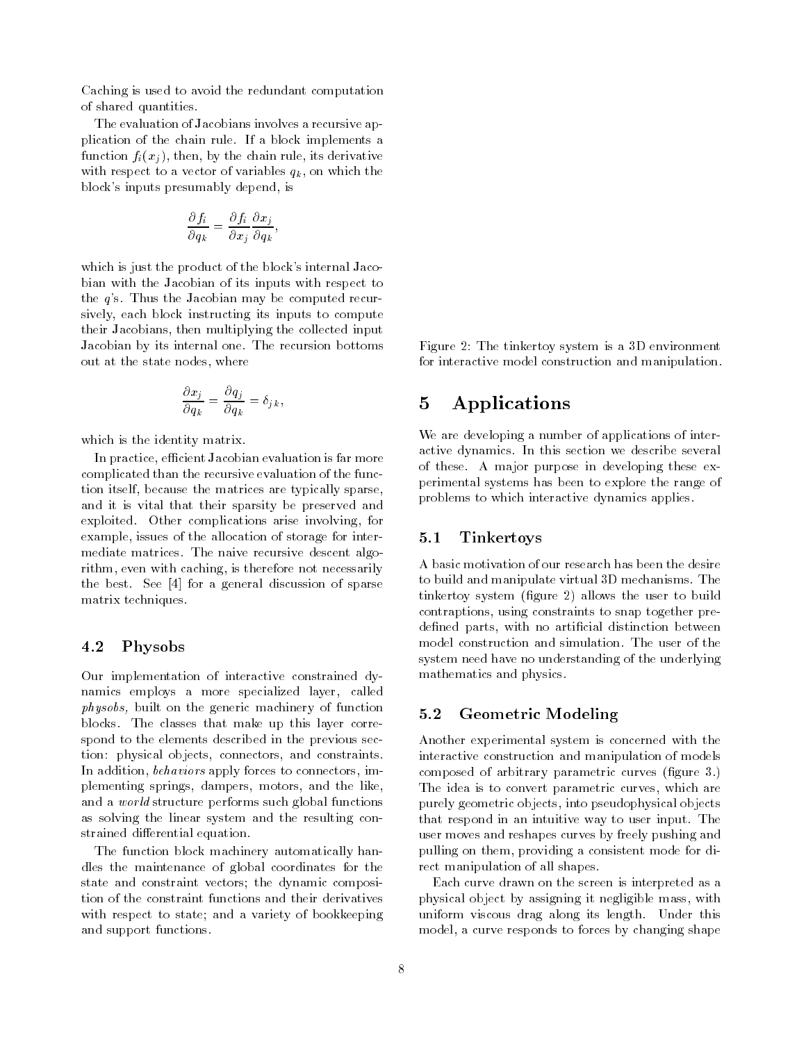Caching is used to avoid the redundant computation of shared quantities.

The evaluation of Jacobians involves a recursive application of the chain rule. If a block implements a function  $f_i(x_i)$ , then, by the chain rule, its derivative with respect to a vector of variables  $q_k$ , on which the block's inputs presumably depend, is

$$
\frac{\partial f_i}{\partial q_k} = \frac{\partial f_i}{\partial x_j} \frac{\partial x_j}{\partial q_k},
$$

which is just the product of the block's internal Jacobian with the Jacobian of its inputs with respect to the <sup>q</sup>'s. Thus the Jacobian may be computed recursively, each block instructing its inputs to compute their Jacobians, then multiplying the collected input Jacobian by its internal one. The recursion bottoms out at the state nodes, where

$$
\frac{\partial x_j}{\partial q_k} = \frac{\partial q_j}{\partial q_k} = \delta_{j\,k\,},
$$

which is the identity matrix.

In practice, efficient Jacobian evaluation is far more complicated than the recursive evaluation of the function itself, because the matrices are typically sparse, and it is vital that their sparsity be preserved and exploited. Other complications arise involving, for example, issues of the allocation of storage for intermediate matrices. The naive recursive descent algorithm, even with caching, is therefore not necessarily the best. See [4] for a general discussion of sparse matrix techniques.

#### 4.2Physobs

Our implementation of interactive constrained dynamics employs a more specialized layer, called physobs, built on the generic machinery of function blocks. The classes that make up this layer correspond to the elements describ ed in the previous section: physical objects, connectors, and constraints. In addition, behaviors apply forces to connectors, implementing springs, dampers, motors, and the like, and a world structure performs such global functions as solving the linear system and the resulting constrained differential equation.

The function block machinery automatically handles the maintenance of global coordinates for the state and constraint vectors; the dynamic composition of the constraint functions and their derivatives with respect to state; and a variety of bookkeeping and support functions.

Figure 2: The tinkertoy system is a 3D environment for interactive model construction and manipulation.

## 5 Applications

We are developing a number of applications of interactive dynamics. In this section we describe several of these. A major purpose in developing these experimental systems has been to explore the range of problems to which interactive dynamics applies.

#### 5.1Tinkertoys

A basic motivation of our research has been the desire to build and manipulate virtual 3D mechanisms. The tinkertoy system (figure 2) allows the user to build contraptions, using constraints to snap together predefined parts, with no artificial distinction between model construction and simulation. The user of the system need have no understanding of the underlying mathematics and physics.

#### 5.2Geometric Modeling

Another experimental system is concerned with the interactive construction and manipulation of models composed of arbitrary parametric curves (figure 3.) The idea is to convert parametric curves, which are purely geometric objects, into pseudophysical objects that respond in an intuitive way to user input. The user moves and reshapes curves by freely pushing and pulling on them, providing a consistent mode for direct manipulation of all shapes.

Each curve drawn on the screen is interpreted as a physical object by assigning it negligible mass, with uniform viscous drag along its length. Under this model, a curve responds to forces by changing shape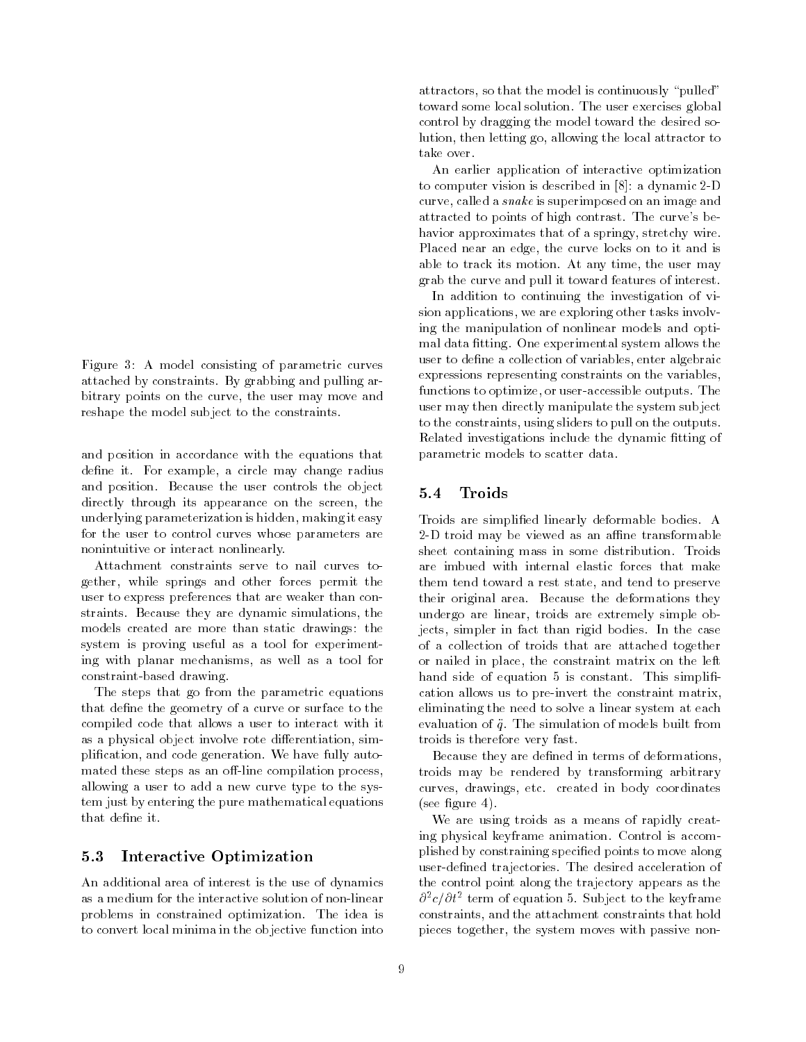Figure 3: A model consisting of parametric curves attached by constraints. By grabbing and pulling arbitrary points on the curve, the user may move and reshape the model subject to the constraints.

and position in accordance with the equations that define it. For example, a circle may change radius and position. Because the user controls the object directly through its appearance on the screen, the underlying parameterization is hidden, making it easy for the user to control curves whose parameters are nonintuitive or interact nonlinearly.

Attachment constraints serve to nail curves together, while springs and other forces permit the user to express preferences that are weaker than constraints. Because they are dynamic simulations, the models created are more than static drawings: the system is proving useful as a tool for experimenting with planar mechanisms, as well as a tool for constraint-based drawing.

The steps that go from the parametric equations that define the geometry of a curve or surface to the compiled code that allows a user to interact with it as a physical object involve rote differentiation, simplication, and code generation. We have fully automated these steps as an off-line compilation process, allowing a user to add a new curve type to the system just by entering the pure mathematical equations that define it.

#### 5.3Interactive Optimization

An additional area of interest is the use of dynamics as a medium for the interactive solution of non-linear problems in constrained optimization. The idea is to convert local minima in the objective function into attractors, so that the model is continuously "pulled" toward some local solution. The user exercises global control by dragging the model toward the desired solution, then letting go, allowing the local attractor to take over.

An earlier application of interactive optimization to computer vision is described in [8]: a dynamic 2-D curve, called a snake is superimposed on an image and attracted to points of high contrast. The curve's behavior approximates that of a springy, stretchy wire. Placed near an edge, the curve locks on to it and is able to track its motion. At any time, the user may grab the curve and pull it toward features of interest.

In addition to continuing the investigation of vision applications, we are exploring other tasks involving the manipulation of nonlinear models and optimal data fitting. One experimental system allows the user to define a collection of variables, enter algebraic expressions representing constraints on the variables, functions to optimize, or user-accessible outputs. The user may then directly manipulate the system sub ject to the constraints, using sliders to pull on the outputs. Related investigations include the dynamic fitting of parametric models to scatter data.

#### 5.4Troids

Troids are simplied linearly deformable bodies. A 2-D troid may be viewed as an affine transformable sheet containing mass in some distribution. Troids are imbued with internal elastic forces that make them tend toward a rest state, and tend to preserve their original area. Because the deformations they undergo are linear, troids are extremely simple objects, simpler in fact than rigid bodies. In the case of a collection of troids that are attached together or nailed in place, the constraint matrix on the left hand side of equation 5 is constant. This simplification allows us to pre-invert the constraint matrix, eliminating the need to solve a linear system at each evaluation of  $\ddot{q}$ . The simulation of models built from troids is therefore very fast.

Because they are defined in terms of deformations, troids may be rendered by transforming arbitrary curves, drawings, etc. created in body coordinates  $(see figure 4).$ 

We are using troids as a means of rapidly creating physical keyframe animation. Control is accomplished by constraining specied points to move along user-defined trajectories. The desired acceleration of the control point along the trajectory appears as the  $\sigma$   $c$   $\sigma$   $\sigma$  term of equation 5. Subject to the keyframe constraints, and the attachment constraints that hold pieces together, the system moves with passive non-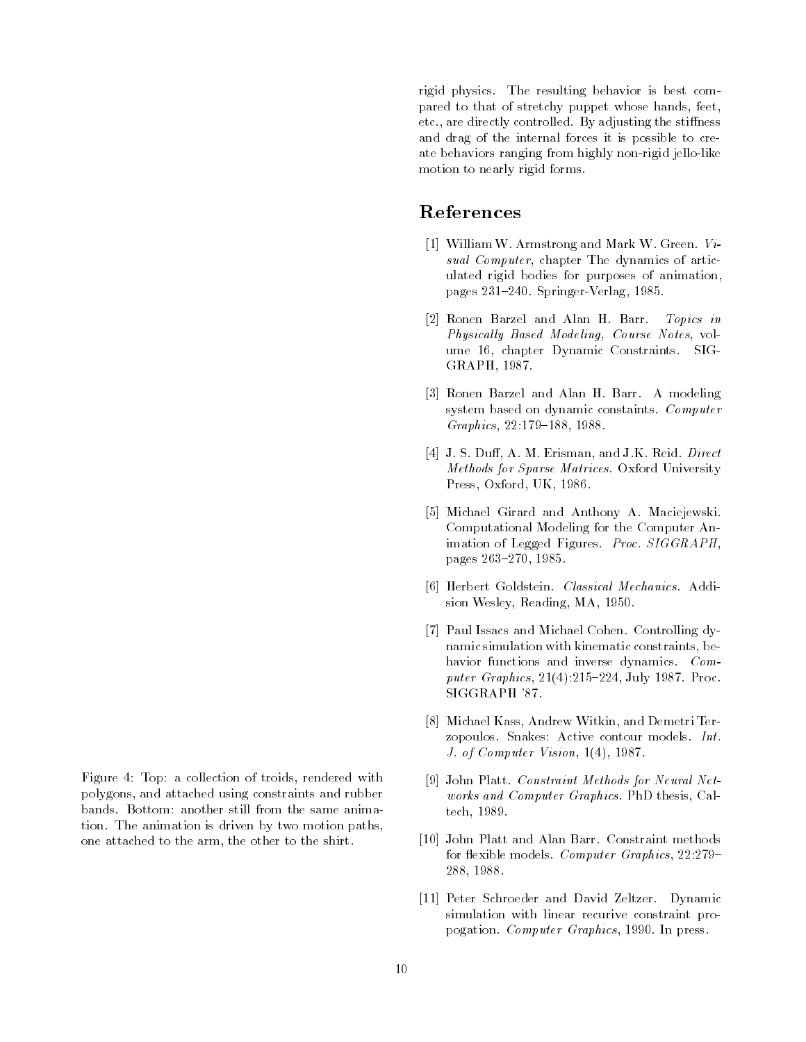rigid physics. The resulting behavior is best compared to that of stretchy puppet whose hands, feet, etc., are directly controlled. By adjusting the stiffness and drag of the internal forces it is possible to create behaviors ranging from highly non-rigid jello-like motion to nearly rigid forms.

## References

- [1] WilliamW. Armstrong and Mark W. Green. Visual Computer, chapter The dynamics of articulated rigid bodies for purposes of animation, pages 231{240. Springer-Verlag, 1985.
- [2] Ronen Barzel and Alan H. Barr. Topics in Physically Based Modeling, Course Notes, volume 16, chapter Dynamic Constraints. SIG-GRAPH, 1987.
- [3] Ronen Barzel and Alan H. Barr. A modeling system based on dynamic constaints. Computer  $Graphics, 22:179-188, 1988.$
- [4] J. S. Duff, A. M. Erisman, and J.K. Reid.  $Direct$ Methods for Sparse Matrices. Oxford University Press, Oxford, UK, 1986.
- [5] Michael Girard and Anthony A. Maciejewski. Computational Modeling for the Computer Animation of Legged Figures. Proc. SIGGRAPH, pages 263-270, 1985.
- [6] Herbert Goldstein. Classical Mechanics. Addision Wesley, Reading, MA, 1950.
- [7] Paul Issacs and Michael Cohen. Controlling dynamic simulation with kinematic constraints, behavior functions and inverse dynamics. Computer Graphics,  $21(4):215{-}224$ , July 1987. Proc. SIGGRAPH '87.
- [8] Michael Kass, Andrew Witkin, and Demetri Terzopoulos. Snakes: Active contour models. Int. J. of Computer Vision, 1(4), 1987.
- [9] John Platt. Constraint Methods for Neural Networks and Computer Graphics. PhD thesis, Caltech, 1989.
- [10] John Platt and Alan Barr. Constraint methods for flexible models. Computer Graphics,  $22.279-$ 288, 1988.
- [11] Peter Schroeder and David Zeltzer. Dynamic simulation with linear recurive constraint propogation. Computer Graphics, 1990. In press.

Figure 4: Top: a collection of troids, rendered with polygons, and attached using constraints and rubber bands. Bottom: another still from the same animation. The animation is driven by two motion paths, one attached to the arm, the other to the shirt.